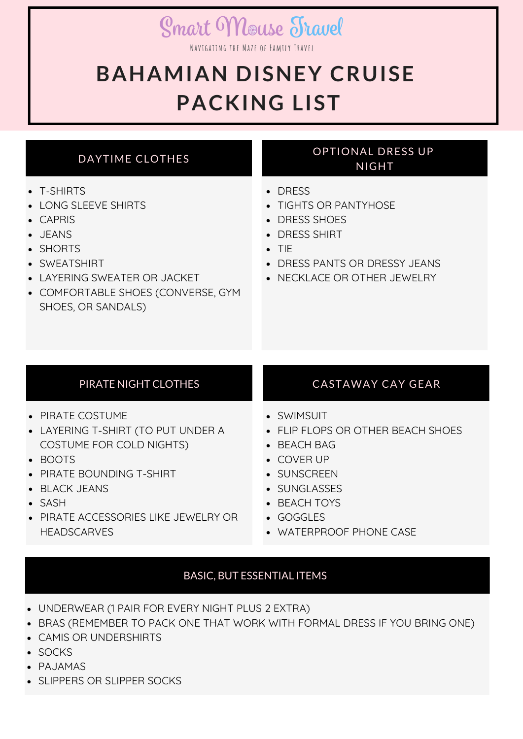# **Smart Mouse Travel**

NAVIGATING THE MAZE OF FAMILY TRAVEL

# **BAHAMIAN DISNEY CRUISE PACKING LIST**

# DAYTIME CLOTHES

- T-SHIRTS
- LONG SLEEVE SHIRTS
- CAPRIS
- JEANS
- SHORTS
- SWEATSHIRT
- LAYERING SWEATER OR JACKET
- COMFORTABLE SHOES (CONVERSE, GYM SHOES, OR SANDALS)

## OPTIONAL DRESS UP NIGHT

- DRESS
- TIGHTS OR PANTYHOSE
- DRESS SHOES
- DRESS SHIRT
- $\bullet$  TIF
- DRESS PANTS OR DRESSY JEANS
- NECKLACE OR OTHER JEWELRY

- PIRATE COSTUME
- LAYERING T-SHIRT (TO PUT UNDER A COSTUME FOR COLD NIGHTS)
- BOOTS
- PIRATE BOUNDING T-SHIRT
- BLACK JEANS
- SASH
- PIRATE ACCESSORIES LIKE JEWELRY OR **HEADSCARVES**

# PIRATE NIGHT CLOTHES CASTAWAY CAY GEAR

- SWIMSUIT
- FLIP FLOPS OR OTHER BEACH SHOES
- BEACH BAG
- COVER UP
- **SUNSCREEN**
- SUNGLASSES
- BEACH TOYS
- GOGGLES
- WATERPROOF PHONE CASE

# BASIC, BUT ESSENTIAL ITEMS

- UNDERWEAR (1 PAIR FOR EVERY NIGHT PLUS 2 EXTRA)
- BRAS (REMEMBER TO PACK ONE THAT WORK WITH FORMAL DRESS IF YOU BRING ONE)
- CAMIS OR UNDERSHIRTS
- SOCKS
- PAJAMAS
- SLIPPERS OR SLIPPER SOCKS